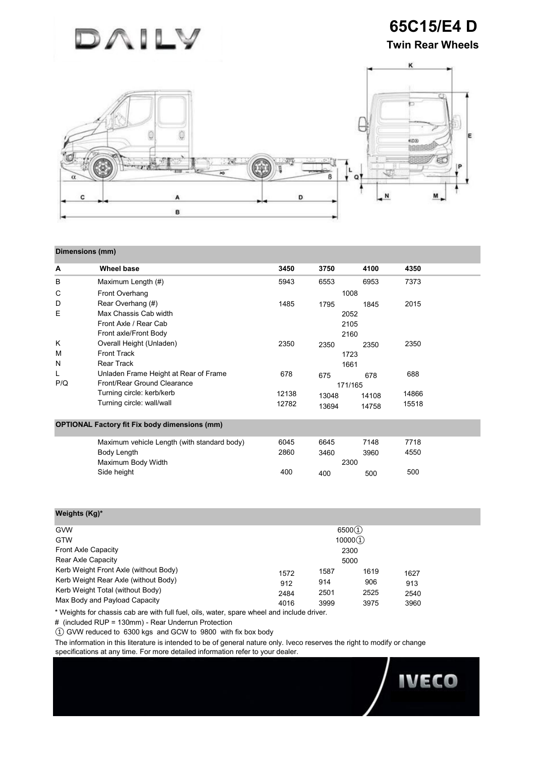

**65C15/E4 D Twin Rear Wheels**

**IVECO** 



## **Dimensions (mm)**

| A                                                    | Wheel base                                  | 3450         | 3750  | 4100  | 4350  |
|------------------------------------------------------|---------------------------------------------|--------------|-------|-------|-------|
| в                                                    | Maximum Length (#)                          | 5943         | 6553  | 6953  | 7373  |
| C                                                    | Front Overhang                              |              | 1008  |       |       |
| D                                                    | Rear Overhang (#)                           | 1485         | 1795  | 1845  | 2015  |
| Е                                                    | Max Chassis Cab width                       |              | 2052  |       |       |
|                                                      | Front Axle / Rear Cab                       |              | 2105  |       |       |
|                                                      | Front axle/Front Body                       |              | 2160  |       |       |
| K                                                    | Overall Height (Unladen)                    | 2350         | 2350  | 2350  | 2350  |
| M                                                    | <b>Front Track</b>                          | 1723<br>1661 |       |       |       |
| N                                                    | <b>Rear Track</b>                           |              |       |       |       |
| L                                                    | Unladen Frame Height at Rear of Frame       | 678          | 675   | 678   | 688   |
| P/Q                                                  | Front/Rear Ground Clearance                 | 171/165      |       |       |       |
|                                                      | Turning circle: kerb/kerb                   | 12138        | 13048 | 14108 | 14866 |
|                                                      | Turning circle: wall/wall                   | 12782        | 13694 | 14758 | 15518 |
| <b>OPTIONAL Factory fit Fix body dimensions (mm)</b> |                                             |              |       |       |       |
|                                                      | Maximum vehicle Length (with standard body) | 6045         | 6645  | 7148  | 7718  |
|                                                      | Body Length                                 | 2860         | 3460  | 3960  | 4550  |
|                                                      | Maximum Body Width                          | 2300         |       |       |       |
|                                                      | Side height                                 | 400          | 400   | 500   | 500   |

| Weights (Kg)*                                                                                                                                      |                             |                             |                             |                             |  |
|----------------------------------------------------------------------------------------------------------------------------------------------------|-----------------------------|-----------------------------|-----------------------------|-----------------------------|--|
| <b>GVW</b><br><b>GTW</b>                                                                                                                           |                             |                             | 6500(1)<br>10000(1)         |                             |  |
| Front Axle Capacity<br>Rear Axle Capacity                                                                                                          | 2300<br>5000                |                             |                             |                             |  |
| Kerb Weight Front Axle (without Body)<br>Kerb Weight Rear Axle (without Body)<br>Kerb Weight Total (without Body)<br>Max Body and Payload Capacity | 1572<br>912<br>2484<br>4016 | 1587<br>914<br>2501<br>3999 | 1619<br>906<br>2525<br>3975 | 1627<br>913<br>2540<br>3960 |  |

\* Weights for chassis cab are with full fuel, oils, water, spare wheel and include driver.

# (included RUP = 130mm) - Rear Underrun Protection

① GVW reduced to 6300 kgs and GCW to 9800 with fix box body

The information in this literature is intended to be of general nature only. Iveco reserves the right to modify or change specifications at any time. For more detailed information refer to your dealer.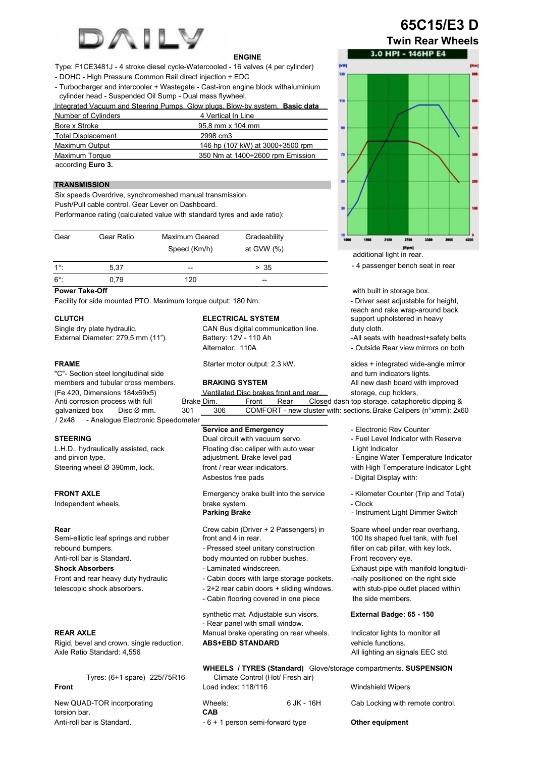

## **ENGINE**

Type: F1CE3481J - 4 stroke diesel cycle-Watercooled - 16 valves (4 per cylinder)

- DOHC - High Pressure Common Rail direct injection + EDC

- Turbocharger and intercooler + Wastegate - Cast-iron engine block withaluminium cylinder head - Suspended Oil Sump - Dual mass flywheel.

Integrated Vacuum and Steering Pumps. Glow plugs. Blow-by system. **Basic data**

| Number of Cylinders       | 4 Vertical In Line                      |
|---------------------------|-----------------------------------------|
| Bore x Stroke             | 95.8 mm x 104 mm                        |
| <b>Total Displacement</b> | 2998 cm3                                |
| <b>Maximum Output</b>     | 146 hp (107 kW) at $3000 \div 3500$ rpm |
| Maximum Torque            | 350 Nm at 1400÷2600 rpm Emission        |
| according Euro 3.         |                                         |

## **TRANSMISSION**

Six speeds Overdrive, synchromeshed manual transmission.

Push/Pull cable control. Gear Lever on Dashboard.

Performance rating (calculated value with standard tyres and axle ratio):

| Gear        | Gear Ratio | Maximum Geared<br>Speed (Km/h) | Gradeability<br>at GVW $(%)$ |  |
|-------------|------------|--------------------------------|------------------------------|--|
| $1^\circ$ : | 5.37       | $- -$                          | > 35                         |  |
| $6^\circ$ : | 0.79       | 120                            | --                           |  |

# **Power Take-Off**

Facility for side mounted PTO. Maximum torque output: 180 Nm.

External Diameter: 279,5 mm (11").

"C"- Section steel longitudinal side and turn indicators lights. members and tubular cross members. **BRAKING SYSTEM** All new dash board with improved / 2x48 - Analogue Electronic Speedometer

L.H.D., hydraulically assisted, rack Floating disc caliper with auto wear Light Indicator

Independent wheels. brake system. The clock of the clock

Semi-elliptic leaf springs and rubber. rebound bumpers.  $\blacksquare$  Pressed steel unitary construction filler on cab pillar, with key lock. Anti-roll bar is Standard. **body mounted on rubber bushes.** Front recovery eye. **Shock Absorbers Exhaust pipe Windscreen.** Exhaust pipe with manifold longitudi-Front and rear heavy duty hydraulic - Cabin doors with large storage pockets. -nally positioned on the right side

Rigid, bevel and crown, single reduction. **ABS+EBD STANDARD** vehicle functions. Axle Ratio Standard: 4,556 All lighting an signals EEC std. All lighting an signals EEC std.

**Front** Load index: 118/116 Windshield Wipers

torsion bar. Anti-roll bar is Standard. **- 6 + 1** person semi-forward type **Other equipment** 

Single dry plate hydraulic. CAN Bus digital communication line. duty cloth.<br>
External Diameter: 279,5 mm (11"). Battery: 12V - 110 Ah Cloth Call seats with headrest+safety belts Alternator: 110A - Cutside Rear view mirrors on both

(Fe 420, Dimensions 184x69x5) Ventilated Disc brakes front and rear. storage, cup holders,

**Service and Emergency Counter Exercise 2 Figures** - Electronic Rev Counter

**STEERING Dual circuit with vacuum servo.** - Fuel Level Indicator with Reserve

and pinion type. **According the Contract Adjustment.** Brake level pad **Figure Water Temperature Indicator** and pri Steering wheel Ø 390mm, lock. front / rear wear indicators. with High Temperature Indicator Light

Asbestos free pads - Digital Display with:

**FRONT AXLE** Emergency brake built into the service - Kilometer Counter (Trip and Total)

**Parking Brake - Instrument Light Dimmer Switch** 

**Rear** Crew cabin (Driver + 2 Passengers) in Spare wheel under rear overhang.<br>Semi-elliptic leaf springs and rubber front and 4 in rear. 100 lts shaped fuel tank, with fuel

telescopic shock absorbers.  $-2+2$  rear cabin doors + sliding windows. with stub-pipe outlet placed within - Cabin flooring covered in one piece the side members.

## **External Badge: 65 - 150**

**REAR AXLE** Manual brake operating on rear wheels. Indicator lights to monitor all

### **WHEELS / TYRES (Standard)** Glove/storage compartments. **SUSPENSION**  Tyres: (6+1 spare) 225/75R16 Climate Control (Hot/ Fresh air)

| New QUAD-TOR incorporating | Wheels: | 6 JK - 16H | Cab Locking with remote control. |
|----------------------------|---------|------------|----------------------------------|
| torsion bar.               | CAB     |            |                                  |

synthetic mat. Adjustable sun visors. - Rear panel with small window.

**65C15/E3 D Twin Rear Wheels**



- 4 passenger bench seat in rear

with built in storage box. - Driver seat adjustable for height, reach and rake wrap-around back **CLUTCH ELECTRICAL SYSTEM SUPPORT UPHOLSTER SUPPORT UPHOLSTER EXECUTE:** 

**FRAME Starter motor output: 2.3 kW.** sides + integrated wide-angle mirror

Anti corrosion process with full Brake Dim. Front Rear Closed dash top storage. cataphoretic dipping & galvanized box Disc Ø mm. 301 306 COMFORT - new cluster with: sections. Brake Calipers (n°xmm): 2x60